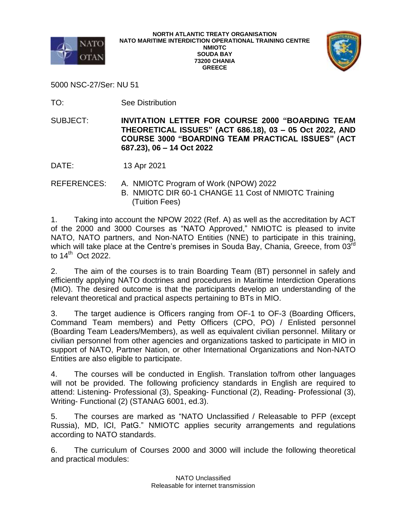



5000 NSC-27/Ser: NU 51

TO: See Distribution

SUBJECT: **INVITATION LETTER FOR COURSE 2000 "BOARDING TEAM THEORETICAL ISSUES" (ACT 686.18), 03 – 05 Oct 2022, AND COURSE 3000 "BOARDING TEAM PRACTICAL ISSUES" (ACT 687.23), 06 – 14 Oct 2022**

DATE: 13 Apr 2021

REFERENCES: A. NMIOTC Program of Work (NPOW) 2022 B. NMIOTC DIR 60-1 CHANGE 11 Cost of NMIOTC Training (Tuition Fees)

1. Taking into account the NPOW 2022 (Ref. A) as well as the accreditation by ACT of the 2000 and 3000 Courses as "NATO Approved," NMIOTC is pleased to invite NATO, NATO partners, and Non-NATO Entities (NNE) to participate in this training, which will take place at the Centre's premises in Souda Bay, Chania, Greece, from 03<sup>rd</sup> to 14 th Oct 2022.

2. The aim of the courses is to train Boarding Team (BT) personnel in safely and efficiently applying NATO doctrines and procedures in Maritime Interdiction Operations (MIO). The desired outcome is that the participants develop an understanding of the relevant theoretical and practical aspects pertaining to BTs in MIO.

3. The target audience is Officers ranging from OF-1 to OF-3 (Boarding Officers, Command Team members) and Petty Officers (CPO, PO) / Enlisted personnel (Boarding Team Leaders/Members), as well as equivalent civilian personnel. Military or civilian personnel from other agencies and organizations tasked to participate in MIO in support of NATO, Partner Nation, or other International Organizations and Non-NATO Entities are also eligible to participate.

4. The courses will be conducted in English. Translation to/from other languages will not be provided. The following proficiency standards in English are required to attend: Listening- Professional (3), Speaking- Functional (2), Reading- Professional (3), Writing- Functional (2) (STANAG 6001, ed.3).

5. The courses are marked as "NATO Unclassified / Releasable to PFP (except Russia), MD, ICI, PatG." NMIOTC applies security arrangements and regulations according to NATO standards.

6. The curriculum of Courses 2000 and 3000 will include the following theoretical and practical modules: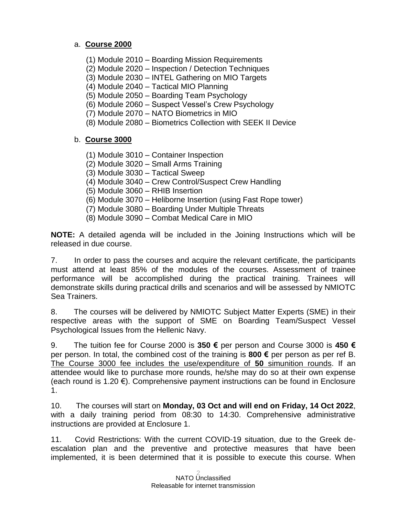# a. **Course 2000**

- (1) Module 2010 Boarding Mission Requirements
- (2) Module 2020 Inspection / Detection Techniques
- (3) Module 2030 INTEL Gathering on MIO Targets
- (4) Module 2040 Tactical MIO Planning
- (5) Module 2050 Boarding Team Psychology
- (6) Module 2060 Suspect Vessel's Crew Psychology
- (7) Module 2070 NATO Biometrics in MIO
- (8) Module 2080 Biometrics Collection with SEEK II Device

# b. **Course 3000**

- (1) Module 3010 Container Inspection
- (2) Module 3020 Small Arms Training
- (3) Module 3030 Tactical Sweep
- (4) Module 3040 Crew Control/Suspect Crew Handling
- (5) Module 3060 RHIB Insertion
- (6) Module 3070 Heliborne Insertion (using Fast Rope tower)
- (7) Module 3080 Boarding Under Multiple Threats
- (8) Module 3090 Combat Medical Care in MIO

**NOTE:** A detailed agenda will be included in the Joining Instructions which will be released in due course.

7. In order to pass the courses and acquire the relevant certificate, the participants must attend at least 85% of the modules of the courses. Assessment of trainee performance will be accomplished during the practical training. Trainees will demonstrate skills during practical drills and scenarios and will be assessed by NMIOTC Sea Trainers.

8. The courses will be delivered by NMIOTC Subject Matter Experts (SME) in their respective areas with the support of SME on Boarding Team/Suspect Vessel Psychological Issues from the Hellenic Navy.

9. The tuition fee for Course 2000 is **350 €** per person and Course 3000 is **450 €** per person. In total, the combined cost of the training is **800 €** per person as per ref B. The Course 3000 fee includes the use/expenditure of **50** simunition rounds. If an attendee would like to purchase more rounds, he/she may do so at their own expense (each round is 1.20 €). Comprehensive payment instructions can be found in Enclosure 1.

10. The courses will start on **Monday, 03 Oct and will end on Friday, 14 Oct 2022**, with a daily training period from 08:30 to 14:30. Comprehensive administrative instructions are provided at Enclosure 1.

11. Covid Restrictions: With the current COVID-19 situation, due to the Greek deescalation plan and the preventive and protective measures that have been implemented, it is been determined that it is possible to execute this course. When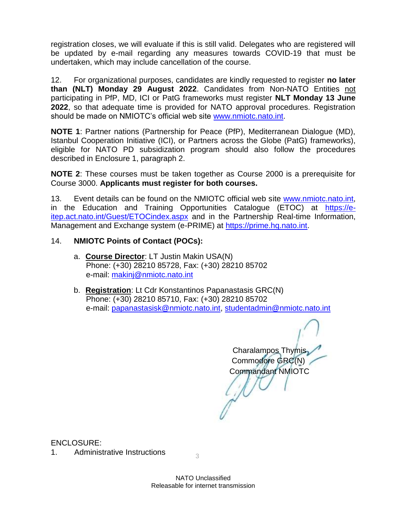registration closes, we will evaluate if this is still valid. Delegates who are registered will be updated by e-mail regarding any measures towards COVID-19 that must be undertaken, which may include cancellation of the course.

12. For organizational purposes, candidates are kindly requested to register **no later than (NLT) Monday 29 August 2022**. Candidates from Non-NATO Entities not participating in PfP, MD, ICI or PatG frameworks must register **NLT Monday 13 June 2022**, so that adequate time is provided for NATO approval procedures. Registration should be made on NMIOTC's official web site [www.nmiotc.nato.int.](http://www.nmiotc.nato.int/)

**NOTE 1**: Partner nations (Partnership for Peace (PfP), Mediterranean Dialogue (MD), Istanbul Cooperation Initiative (ICI), or Partners across the Globe (PatG) frameworks), eligible for NATO PD subsidization program should also follow the procedures described in Enclosure 1, paragraph 2.

**NOTE 2**: These courses must be taken together as Course 2000 is a prerequisite for Course 3000. **Applicants must register for both courses.**

13. Event details can be found on the NMIOTC official web site [www.nmiotc.nato.int,](http://www.nmiotc.nato.int/) in the Education and Training Opportunities Catalogue (ETOC) at [https://e](https://e-itep.act.nato.int/Guest/ETOCindex.aspx)[itep.act.nato.int/Guest/ETOCindex.aspx](https://e-itep.act.nato.int/Guest/ETOCindex.aspx) and in the Partnership Real-time Information, Management and Exchange system (e-PRIME) at [https://prime.hq.nato.int.](https://prime.hq.nato.int/)

## 14. **NMIOTC Points of Contact (POCs):**

- a. **Course Director**: LT Justin Makin USA(N) Phone: (+30) 28210 85728, Fax: (+30) 28210 85702 e-mail: [makinj@nmiotc.nato.int](mailto:makinj@nmiotc.nato.int)
- b. **Registration**: Lt Cdr Konstantinos Papanastasis GRC(N) Phone: (+30) 28210 85710, Fax: (+30) 28210 85702 e-mail: [papanastasisk@nmiotc.nato.int,](mailto:papanastasisk@nmiotc.nato.int) [studentadmin@nmiotc.nato.int](mailto:studentadmin@nmiotc.nato.int)

Charalampos Thymis, Commodore GRC(N) Commandant NMIOTC

ENCLOSURE:

1. Administrative Instructions  $\frac{3}{3}$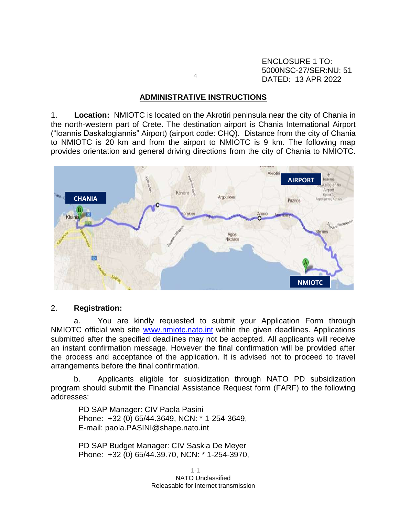ENCLOSURE 1 TO: 5000NSC-27/SER:NU: 51 DATED: 13 APR 2022

#### **ADMINISTRATIVE INSTRUCTIONS**

4

1. **Location:** NMIOTC is located on the Akrotiri peninsula near the city of Chania in the north-western part of Crete. The destination airport is Chania International Airport ("Ioannis Daskalogiannis" Airport) (airport code: CHQ). Distance from the city of Chania to NMIOTC is 20 km and from the airport to NMIOTC is 9 km. The following map provides orientation and general driving directions from the city of Chania to NMIOTC.



### 2. **Registration:**

a. You are kindly requested to submit your Application Form through NMIOTC official web site [www.nmiotc.nato.int](http://www.nmiotc.nato.int/) within the given deadlines. Applications submitted after the specified deadlines may not be accepted. All applicants will receive an instant confirmation message. However the final confirmation will be provided after the process and acceptance of the application. It is advised not to proceed to travel arrangements before the final confirmation.

b. Applicants eligible for subsidization through NATO PD subsidization program should submit the Financial Assistance Request form (FARF) to the following addresses:

PD SAP Manager: CIV Paola Pasini Phone: +32 (0) 65/44.3649, NCN: \* 1-254-3649, E-mail: paola.PASINI@shape.nato.int

PD SAP Budget Manager: CIV Saskia De Meyer Phone: +32 (0) 65/44.39.70, NCN: \* 1-254-3970,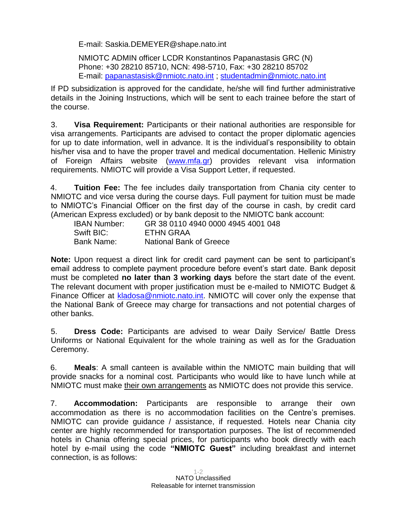E-mail: Saskia.DEMEYER@shape.nato.int

NMIOTC ADMIN officer LCDR Konstantinos Papanastasis GRC (N) Phone: +30 28210 85710, NCN: 498-5710, Fax: +30 28210 85702 E-mail: [papanastasisk@nmiotc.nato.int](mailto:papanastasisk@nmiotc.nato.int) ; [studentadmin@nmiotc.nato.int](mailto:studentadmin@nmiotc.nato.int)

If PD subsidization is approved for the candidate, he/she will find further administrative details in the Joining Instructions, which will be sent to each trainee before the start of the course.

3. **Visa Requirement:** Participants or their national authorities are responsible for visa arrangements. Participants are advised to contact the proper diplomatic agencies for up to date information, well in advance. It is the individual's responsibility to obtain his/her visa and to have the proper travel and medical documentation. Hellenic Ministry of Foreign Affairs website [\(www.mfa.gr\)](http://www.mfa.gr/) provides relevant visa information requirements. NMIOTC will provide a Visa Support Letter, if requested.

4. **Tuition Fee:** The fee includes daily transportation from Chania city center to NMIOTC and vice versa during the course days. Full payment for tuition must be made to NMIOTC's Financial Officer on the first day of the course in cash, by credit card (American Express excluded) or by bank deposit to the NMIOTC bank account:

IBAN Number: GR 38 0110 4940 0000 4945 4001 048 Swift BIC: ETHN GRAA Bank Name: National Bank of Greece

**Note:** Upon request a direct link for credit card payment can be sent to participant's email address to complete payment procedure before event's start date. Bank deposit must be completed **no later than 3 working days** before the start date of the event. The relevant document with proper justification must be e-mailed to NMIOTC Budget & Finance Officer at [kladosa@nmiotc.nato.int.](mailto:kladosa@nmiotc.nato.int) NMIOTC will cover only the expense that the National Bank of Greece may charge for transactions and not potential charges of other banks.

5. **Dress Code:** Participants are advised to wear Daily Service/ Battle Dress Uniforms or National Equivalent for the whole training as well as for the Graduation Ceremony.

6. **Meals**: A small canteen is available within the NMIOTC main building that will provide snacks for a nominal cost. Participants who would like to have lunch while at NMIOTC must make their own arrangements as NMIOTC does not provide this service.

7. **Accommodation:** Participants are responsible to arrange their own accommodation as there is no accommodation facilities on the Centre's premises. NMIOTC can provide guidance / assistance, if requested. Hotels near Chania city center are highly recommended for transportation purposes. The list of recommended hotels in Chania offering special prices, for participants who book directly with each hotel by e-mail using the code **"NMIOTC Guest"** including breakfast and internet connection, is as follows: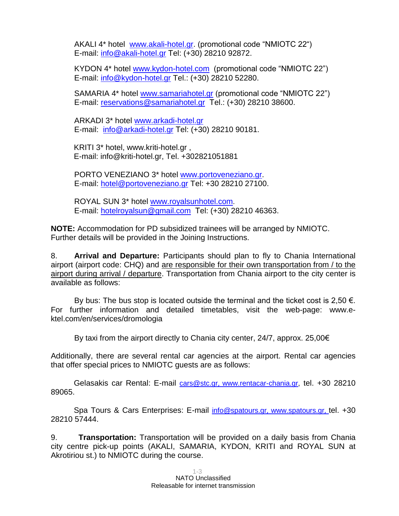AKALI 4\* hotel [www.akali-hotel.gr.](http://www.akali-hotel.gr/) (promotional code "NMIOTC 22") E-mail: [info@akali-hotel.gr](mailto:info@akali-hotel.gr) Τel: [\(+30\) 28210 9](tel:%2B30%202821038600)2872.

KYDON 4\* hotel [www.kydon-hotel.com](file://nunmisv-apps/Outgoing_Documents/Users/m.woolley/AppData/Local/Microsoft/Windows/Temporary%20Internet%20Files/Content.Outlook/Local%20Settings/Temporary%20Internet%20Files/Content.Outlook/Local%20Settings/Temporary%20Internet%20Files/Content.Outlook/Local%20Settings/Temporary%20Internet%20Files/AppData/Local/Microsoft/Windows/Temporary%20Internet%20Files/lytrase/Local%20Settings/Temporary%20Internet%20Files/Content.Outlook/Local%20Settings/Temporary%20Internet%20Files/vougioukasg/Local%20Settings/Temporary%20Internet%20Files/sampanisk/Local%20Settings/Temporary%20Internet%20Files/Content.Outlook/Local%20Settings/Temporary%20Internet%20Files/Content.Outlook/UZHVFRKX/www.kydon-hotel.com) (promotional code "NMIOTC 22") E-mail: [info@kydon-hotel.gr](mailto:info@kydon-hotel.gr) Tel.: (+30) 28210 52280.

SAMARIA 4\* hotel [www.samariahotel.gr](http://www.samariahotel.gr/) (promotional code "NMIOTC 22") E-mail: [reservations@samariahotel.gr](mailto:reservations@samariahotel.gr) Τel.: [\(+30\) 28210 38600.](tel:%2B30%202821038600)

ARKADI 3\* hotel [www.arkadi-hotel.gr](http://www.arkadi-hotel.gr/) E-mail: [info@arkadi-hotel.gr](mailto:info@arkadi-hotel.gr) Τel: [\(+30\) 28210 9](tel:%2B30%202821038600)0181.

KRITI 3\* hotel, www.kriti-hotel.gr , E-mail: info@kriti-hotel.gr, Tel. +302821051881

PORTO VENEZIANO 3\* hotel [www.portoveneziano.gr.](http://www.portoveneziano.gr/) E-mail: [hotel@portoveneziano.gr](mailto:hotel@portoveneziano.gr) Tel: +30 28210 27100.

ROYAL SUN 3\* hotel [www.royalsunhotel.com](http://www.royalsunhotel.com/). E-mail: [hotelroyalsun@gmail.com](mailto:hotelroyalsun@gmail.com) Τel: [\(+30\) 28210 4](tel:%2B30%202821038600)6363.

**NOTE:** Accommodation for PD subsidized trainees will be arranged by NMIOTC. Further details will be provided in the Joining Instructions.

8. **Arrival and Departure:** Participants should plan to fly to Chania International airport (airport code: CHQ) and are responsible for their own transportation from / to the airport during arrival / departure. Transportation from Chania airport to the city center is available as follows:

By bus: The bus stop is located outside the terminal and the ticket cost is 2,50  $\epsilon$ . For further information and detailed timetables, visit the web-page: www.ektel.com/en/services/dromologia

By taxi from the airport directly to Chania city center, 24/7, approx. 25,00 $\in$ 

Additionally, there are several rental car agencies at the airport. Rental car agencies that offer special prices to NMIOTC guests are as follows:

Gelasakis car Rental: E-mail [cars@stc.gr](mailto:cars@stc.gr), [www.rentacar-chania.gr,](http://www.rentacar-chania.gr/) tel. +30 28210 89065.

Spa Tours & Cars Enterprises: E-mail [info@spatours.gr](mailto:info@spatours.gr), [www.spatours.gr](http://www.spatours.gr/), tel. +30 28210 57444.

9. **Transportation:** Transportation will be provided on a daily basis from Chania city centre pick-up points (AKALI, SAMARIA, KYDON, KRITI and ROYAL SUN at Akrotiriou st.) to NMIOTC during the course.